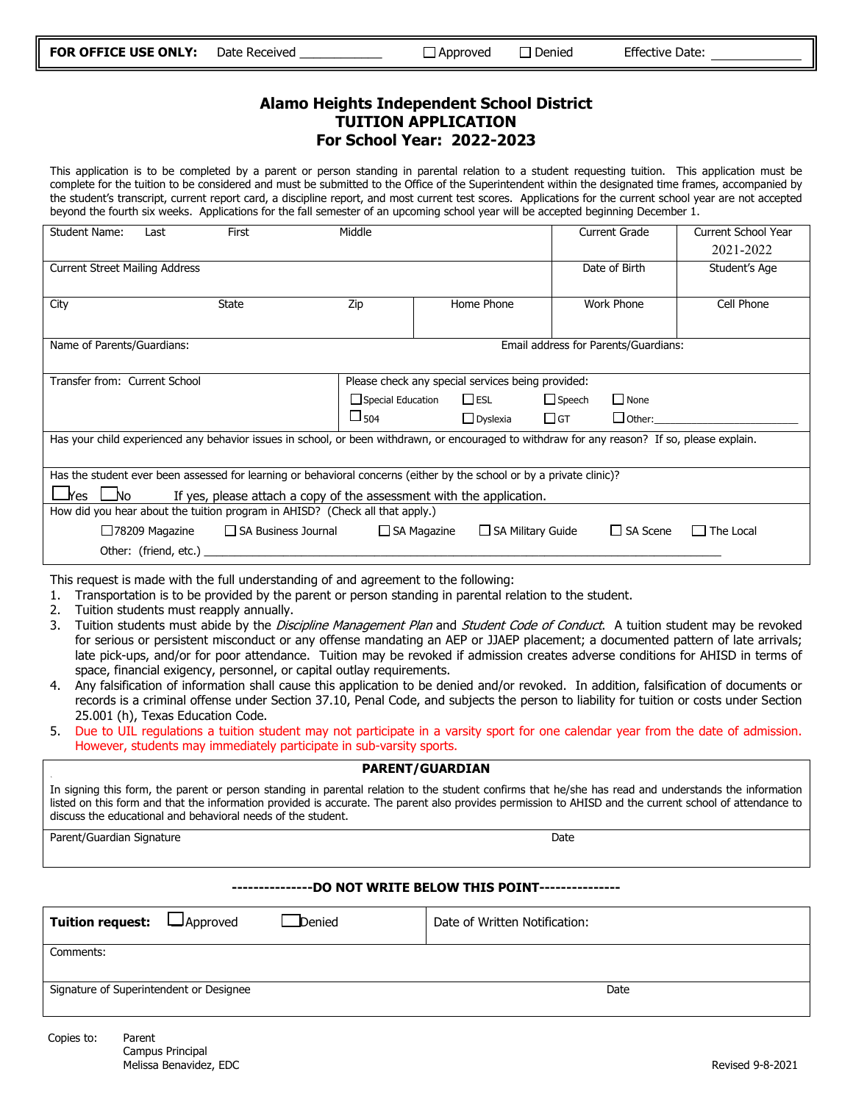### **Alamo Heights Independent School District TUITION APPLICATION For School Year: 2022-2023**

This application is to be completed by a parent or person standing in parental relation to a student requesting tuition. This application must be complete for the tuition to be considered and must be submitted to the Office of the Superintendent within the designated time frames, accompanied by the student's transcript, current report card, a discipline report, and most current test scores. Applications for the current school year are not accepted beyond the fourth six weeks. Applications for the fall semester of an upcoming school year will be accepted beginning December 1.

| Student Name:                                                                                                                                 | Last                                              | First        | Middle        |                                    |                   |           | <b>Current Grade</b>           | Current School Year |  |
|-----------------------------------------------------------------------------------------------------------------------------------------------|---------------------------------------------------|--------------|---------------|------------------------------------|-------------------|-----------|--------------------------------|---------------------|--|
|                                                                                                                                               |                                                   |              |               |                                    |                   |           |                                | 2021-2022           |  |
| <b>Current Street Mailing Address</b>                                                                                                         |                                                   |              |               |                                    |                   |           | Date of Birth<br>Student's Age |                     |  |
|                                                                                                                                               |                                                   |              |               |                                    |                   |           |                                |                     |  |
| City                                                                                                                                          |                                                   | <b>State</b> | Zip           |                                    | Home Phone        |           | <b>Work Phone</b>              | Cell Phone          |  |
|                                                                                                                                               |                                                   |              |               |                                    |                   |           |                                |                     |  |
| Name of Parents/Guardians:<br>Email address for Parents/Guardians:                                                                            |                                                   |              |               |                                    |                   |           |                                |                     |  |
|                                                                                                                                               |                                                   |              |               |                                    |                   |           |                                |                     |  |
| Transfer from: Current School                                                                                                                 | Please check any special services being provided: |              |               |                                    |                   |           |                                |                     |  |
|                                                                                                                                               |                                                   |              |               | $\square$ esl<br>Special Education |                   |           | $\Box$ Speech<br>$\Box$ None   |                     |  |
|                                                                                                                                               |                                                   |              | $\square$ 504 |                                    | $\Box$ Dyslexia   | $\Box$ GT | $\Box$ Other:                  |                     |  |
| Has your child experienced any behavior issues in school, or been withdrawn, or encouraged to withdraw for any reason? If so, please explain. |                                                   |              |               |                                    |                   |           |                                |                     |  |
|                                                                                                                                               |                                                   |              |               |                                    |                   |           |                                |                     |  |
| Has the student ever been assessed for learning or behavioral concerns (either by the school or by a private clinic)?                         |                                                   |              |               |                                    |                   |           |                                |                     |  |
| $\square$ Yes $\square$<br>_No<br>If yes, please attach a copy of the assessment with the application.                                        |                                                   |              |               |                                    |                   |           |                                |                     |  |
| How did you hear about the tuition program in AHISD? (Check all that apply.)                                                                  |                                                   |              |               |                                    |                   |           |                                |                     |  |
| □78209 Magazine □ SA Business Journal □ SA Magazine                                                                                           |                                                   |              |               |                                    | SA Military Guide |           | $\Box$ SA Scene                | $\Box$ The Local    |  |
|                                                                                                                                               |                                                   |              |               |                                    |                   |           |                                |                     |  |

This request is made with the full understanding of and agreement to the following:

1. Transportation is to be provided by the parent or person standing in parental relation to the student.

- 2. Tuition students must reapply annually.
- 3. Tuition students must abide by the Discipline Management Plan and Student Code of Conduct. A tuition student may be revoked for serious or persistent misconduct or any offense mandating an AEP or JJAEP placement; a documented pattern of late arrivals; late pick-ups, and/or for poor attendance. Tuition may be revoked if admission creates adverse conditions for AHISD in terms of space, financial exigency, personnel, or capital outlay requirements.
- 4. Any falsification of information shall cause this application to be denied and/or revoked. In addition, falsification of documents or records is a criminal offense under Section 37.10, Penal Code, and subjects the person to liability for tuition or costs under Section 25.001 (h), Texas Education Code.
- 5. Due to UIL regulations a tuition student may not participate in a varsity sport for one calendar year from the date of admission. However, students may immediately participate in sub-varsity sports.

#### **PARENT/GUARDIAN**

In signing this form, the parent or person standing in parental relation to the student confirms that he/she has read and understands the information listed on this form and that the information provided is accurate. The parent also provides permission to AHISD and the current school of attendance to discuss the educational and behavioral needs of the student.

Parent/Guardian Signature Date Date of the United States of the Date Date Date Date Date Date Date

**---------------DO NOT WRITE BELOW THIS POINT---------------**

| <b>Tuition request: L</b> Approved<br>Denied | Date of Written Notification: |  |  |  |
|----------------------------------------------|-------------------------------|--|--|--|
| Comments:                                    |                               |  |  |  |
| Signature of Superintendent or Designee      | Date                          |  |  |  |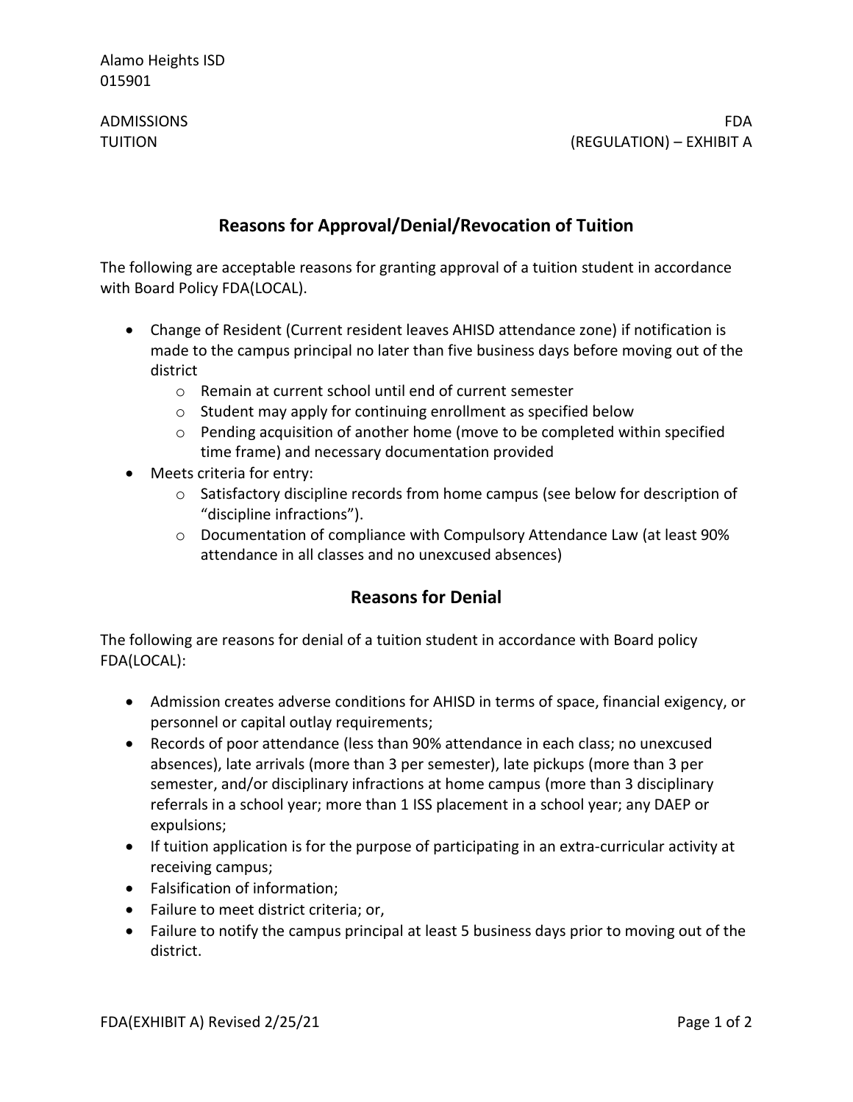Alamo Heights ISD 015901

ADMISSIONS FDA TUITION (REGULATION) – EXHIBIT A

# **Reasons for Approval/Denial/Revocation of Tuition**

The following are acceptable reasons for granting approval of a tuition student in accordance with Board Policy FDA(LOCAL).

- Change of Resident (Current resident leaves AHISD attendance zone) if notification is made to the campus principal no later than five business days before moving out of the district
	- o Remain at current school until end of current semester
	- o Student may apply for continuing enrollment as specified below
	- $\circ$  Pending acquisition of another home (move to be completed within specified time frame) and necessary documentation provided
- Meets criteria for entry:
	- o Satisfactory discipline records from home campus (see below for description of "discipline infractions").
	- o Documentation of compliance with Compulsory Attendance Law (at least 90% attendance in all classes and no unexcused absences)

# **Reasons for Denial**

The following are reasons for denial of a tuition student in accordance with Board policy FDA(LOCAL):

- Admission creates adverse conditions for AHISD in terms of space, financial exigency, or personnel or capital outlay requirements;
- Records of poor attendance (less than 90% attendance in each class; no unexcused absences), late arrivals (more than 3 per semester), late pickups (more than 3 per semester, and/or disciplinary infractions at home campus (more than 3 disciplinary referrals in a school year; more than 1 ISS placement in a school year; any DAEP or expulsions;
- If tuition application is for the purpose of participating in an extra-curricular activity at receiving campus;
- Falsification of information;
- Failure to meet district criteria; or,
- Failure to notify the campus principal at least 5 business days prior to moving out of the district.